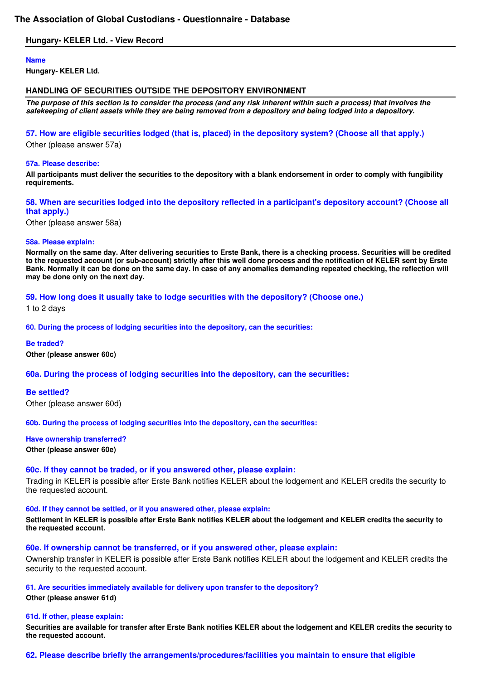# **The Association of Global Custodians - Questionnaire - Database**

# **Hungary- KELER Ltd. - View Record**

### **Name**

**Hungary- KELER Ltd.** 

# **HANDLING OF SECURITIES OUTSIDE THE DEPOSITORY ENVIRONMENT**

**The purpose of this section is to consider the process (and any risk inherent within such a process) that involves the safekeeping of client assets while they are being removed from a depository and being lodged into a depository.**

# **57. How are eligible securities lodged (that is, placed) in the depository system? (Choose all that apply.)**

Other (please answer 57a)

### **57a. Please describe:**

**All participants must deliver the securities to the depository with a blank endorsement in order to comply with fungibility requirements.** 

# **58. When are securities lodged into the depository reflected in a participant's depository account? (Choose all that apply.)**

Other (please answer 58a)

### **58a. Please explain:**

**Normally on the same day. After delivering securities to Erste Bank, there is a checking process. Securities will be credited to the requested account (or sub-account) strictly after this well done process and the notification of KELER sent by Erste Bank. Normally it can be done on the same day. In case of any anomalies demanding repeated checking, the reflection will may be done only on the next day.** 

# **59. How long does it usually take to lodge securities with the depository? (Choose one.)**

1 to 2 days

### **60. During the process of lodging securities into the depository, can the securities:**

**Be traded? Other (please answer 60c)** 

# **60a. During the process of lodging securities into the depository, can the securities:**

**Be settled?** Other (please answer 60d)

**60b. During the process of lodging securities into the depository, can the securities:** 

**Have ownership transferred?**

## **Other (please answer 60e)**

# **60c. If they cannot be traded, or if you answered other, please explain:**

Trading in KELER is possible after Erste Bank notifies KELER about the lodgement and KELER credits the security to the requested account.

### **60d. If they cannot be settled, or if you answered other, please explain:**

**Settlement in KELER is possible after Erste Bank notifies KELER about the lodgement and KELER credits the security to the requested account.** 

#### **60e. If ownership cannot be transferred, or if you answered other, please explain:**

Ownership transfer in KELER is possible after Erste Bank notifies KELER about the lodgement and KELER credits the security to the requested account.

#### **61. Are securities immediately available for delivery upon transfer to the depository?**

**Other (please answer 61d)** 

#### **61d. If other, please explain:**

**Securities are available for transfer after Erste Bank notifies KELER about the lodgement and KELER credits the security to the requested account.** 

# **62. Please describe briefly the arrangements/procedures/facilities you maintain to ensure that eligible**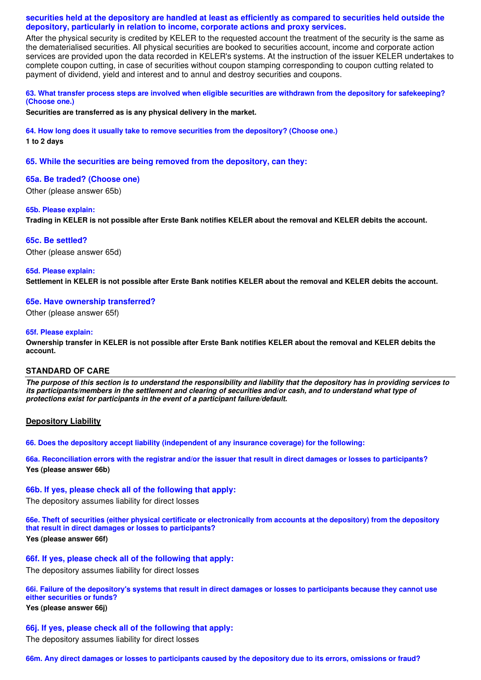# **securities held at the depository are handled at least as efficiently as compared to securities held outside the depository, particularly in relation to income, corporate actions and proxy services.**

After the physical security is credited by KELER to the requested account the treatment of the security is the same as the dematerialised securities. All physical securities are booked to securities account, income and corporate action services are provided upon the data recorded in KELER's systems. At the instruction of the issuer KELER undertakes to complete coupon cutting, in case of securities without coupon stamping corresponding to coupon cutting related to payment of dividend, yield and interest and to annul and destroy securities and coupons.

# **63. What transfer process steps are involved when eligible securities are withdrawn from the depository for safekeeping? (Choose one.)**

**Securities are transferred as is any physical delivery in the market.** 

**64. How long does it usually take to remove securities from the depository? (Choose one.) 1 to 2 days** 

**65. While the securities are being removed from the depository, can they:** 

# **65a. Be traded? (Choose one)**

Other (please answer 65b)

### **65b. Please explain:**

**Trading in KELER is not possible after Erste Bank notifies KELER about the removal and KELER debits the account.** 

### **65c. Be settled?**

Other (please answer 65d)

#### **65d. Please explain:**

**Settlement in KELER is not possible after Erste Bank notifies KELER about the removal and KELER debits the account.** 

### **65e. Have ownership transferred?**

Other (please answer 65f)

### **65f. Please explain:**

**Ownership transfer in KELER is not possible after Erste Bank notifies KELER about the removal and KELER debits the account.** 

# **STANDARD OF CARE**

**The purpose of this section is to understand the responsibility and liability that the depository has in providing services to its participants/members in the settlement and clearing of securities and/or cash, and to understand what type of protections exist for participants in the event of a participant failure/default.**

# **Depository Liability**

**66. Does the depository accept liability (independent of any insurance coverage) for the following:** 

**66a. Reconciliation errors with the registrar and/or the issuer that result in direct damages or losses to participants? Yes (please answer 66b)** 

### **66b. If yes, please check all of the following that apply:**

The depository assumes liability for direct losses

**66e. Theft of securities (either physical certificate or electronically from accounts at the depository) from the depository that result in direct damages or losses to participants? Yes (please answer 66f)** 

# **66f. If yes, please check all of the following that apply:**

The depository assumes liability for direct losses

**66i. Failure of the depository's systems that result in direct damages or losses to participants because they cannot use either securities or funds? Yes (please answer 66j)** 

# **66j. If yes, please check all of the following that apply:**

The depository assumes liability for direct losses

**66m. Any direct damages or losses to participants caused by the depository due to its errors, omissions or fraud?**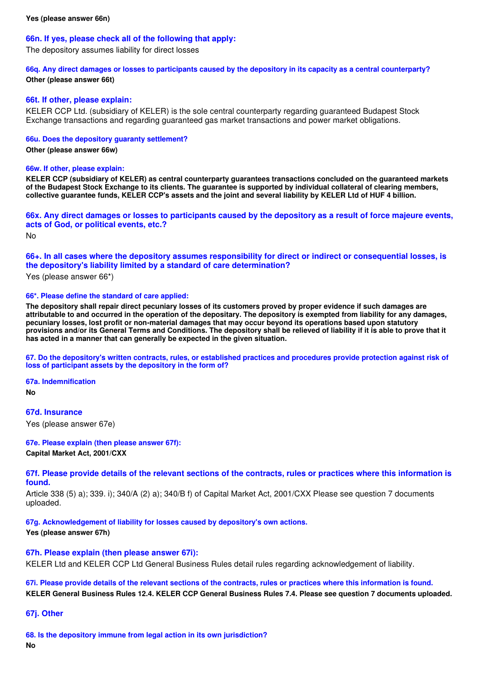# **66n. If yes, please check all of the following that apply:**

The depository assumes liability for direct losses

**66q. Any direct damages or losses to participants caused by the depository in its capacity as a central counterparty? Other (please answer 66t)** 

### **66t. If other, please explain:**

KELER CCP Ltd. (subsidiary of KELER) is the sole central counterparty regarding guaranteed Budapest Stock Exchange transactions and regarding guaranteed gas market transactions and power market obligations.

### **66u. Does the depository guaranty settlement?**

**Other (please answer 66w)** 

### **66w. If other, please explain:**

**KELER CCP (subsidiary of KELER) as central counterparty guarantees transactions concluded on the guaranteed markets of the Budapest Stock Exchange to its clients. The guarantee is supported by individual collateral of clearing members, collective guarantee funds, KELER CCP's assets and the joint and several liability by KELER Ltd of HUF 4 billion.** 

**66x. Any direct damages or losses to participants caused by the depository as a result of force majeure events, acts of God, or political events, etc.?**

No

# **66+. In all cases where the depository assumes responsibility for direct or indirect or consequential losses, is the depository's liability limited by a standard of care determination?**

Yes (please answer 66\*)

#### **66\*. Please define the standard of care applied:**

**The depository shall repair direct pecuniary losses of its customers proved by proper evidence if such damages are attributable to and occurred in the operation of the depositary. The depository is exempted from liability for any damages, pecuniary losses, lost profit or non-material damages that may occur beyond its operations based upon statutory provisions and/or its General Terms and Conditions. The depository shall be relieved of liability if it is able to prove that it has acted in a manner that can generally be expected in the given situation.** 

**67. Do the depository's written contracts, rules, or established practices and procedures provide protection against risk of loss of participant assets by the depository in the form of?** 

**67a. Indemnification**

**No** 

**67d. Insurance**

Yes (please answer 67e)

**67e. Please explain (then please answer 67f): Capital Market Act, 2001/CXX** 

**67f. Please provide details of the relevant sections of the contracts, rules or practices where this information is found.**

Article 338 (5) a); 339. i); 340/A (2) a); 340/B f) of Capital Market Act, 2001/CXX Please see question 7 documents uploaded.

**67g. Acknowledgement of liability for losses caused by depository's own actions.**

**Yes (please answer 67h)** 

# **67h. Please explain (then please answer 67i):**

KELER Ltd and KELER CCP Ltd General Business Rules detail rules regarding acknowledgement of liability.

**67i. Please provide details of the relevant sections of the contracts, rules or practices where this information is found. KELER General Business Rules 12.4. KELER CCP General Business Rules 7.4. Please see question 7 documents uploaded.** 

**67j. Other**

**68. Is the depository immune from legal action in its own jurisdiction? No**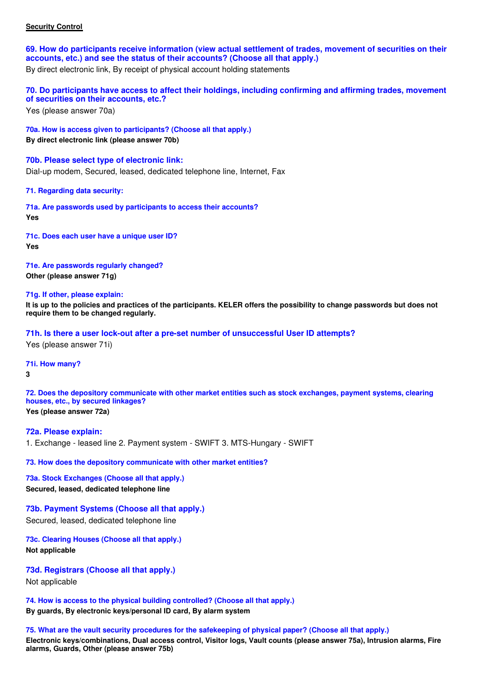# **Security Control**

**69. How do participants receive information (view actual settlement of trades, movement of securities on their accounts, etc.) and see the status of their accounts? (Choose all that apply.)**

By direct electronic link, By receipt of physical account holding statements

**70. Do participants have access to affect their holdings, including confirming and affirming trades, movement of securities on their accounts, etc.?**

Yes (please answer 70a)

**70a. How is access given to participants? (Choose all that apply.) By direct electronic link (please answer 70b)** 

**70b. Please select type of electronic link:** Dial-up modem, Secured, leased, dedicated telephone line, Internet, Fax

**71. Regarding data security:** 

**71a. Are passwords used by participants to access their accounts? Yes** 

**71c. Does each user have a unique user ID? Yes** 

**71e. Are passwords regularly changed? Other (please answer 71g)** 

**71g. If other, please explain:**

**It is up to the policies and practices of the participants. KELER offers the possibility to change passwords but does not require them to be changed regularly.** 

**71h. Is there a user lock-out after a pre-set number of unsuccessful User ID attempts?**

Yes (please answer 71i)

**71i. How many?**

**3** 

**72. Does the depository communicate with other market entities such as stock exchanges, payment systems, clearing houses, etc., by secured linkages? Yes (please answer 72a)** 

**72a. Please explain:** 1. Exchange - leased line 2. Payment system - SWIFT 3. MTS-Hungary - SWIFT

**73. How does the depository communicate with other market entities?** 

**73a. Stock Exchanges (Choose all that apply.) Secured, leased, dedicated telephone line** 

**73b. Payment Systems (Choose all that apply.)**

Secured, leased, dedicated telephone line

**73c. Clearing Houses (Choose all that apply.) Not applicable** 

**73d. Registrars (Choose all that apply.)**

Not applicable

**74. How is access to the physical building controlled? (Choose all that apply.) By guards, By electronic keys/personal ID card, By alarm system** 

**75. What are the vault security procedures for the safekeeping of physical paper? (Choose all that apply.)**

**Electronic keys/combinations, Dual access control, Visitor logs, Vault counts (please answer 75a), Intrusion alarms, Fire alarms, Guards, Other (please answer 75b)**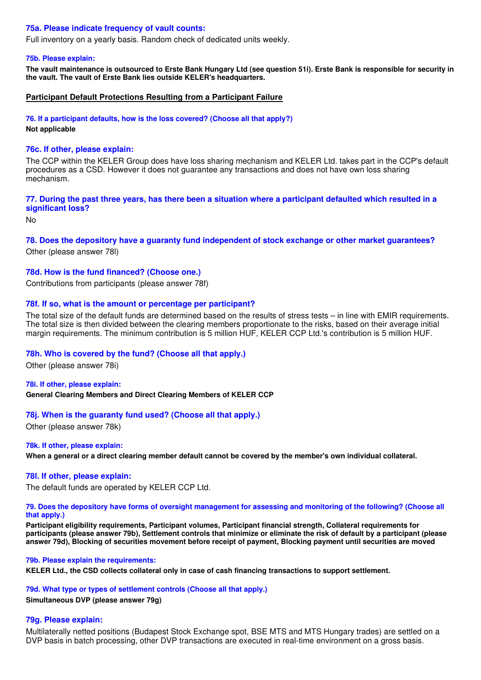# **75a. Please indicate frequency of vault counts:**

Full inventory on a yearly basis. Random check of dedicated units weekly.

### **75b. Please explain:**

**The vault maintenance is outsourced to Erste Bank Hungary Ltd (see question 51i). Erste Bank is responsible for security in the vault. The vault of Erste Bank lies outside KELER's headquarters.** 

# **Participant Default Protections Resulting from a Participant Failure**

**76. If a participant defaults, how is the loss covered? (Choose all that apply?)**

**Not applicable** 

### **76c. If other, please explain:**

The CCP within the KELER Group does have loss sharing mechanism and KELER Ltd. takes part in the CCP's default procedures as a CSD. However it does not guarantee any transactions and does not have own loss sharing mechanism.

### **77. During the past three years, has there been a situation where a participant defaulted which resulted in a significant loss?**

No

# **78. Does the depository have a guaranty fund independent of stock exchange or other market guarantees?**

Other (please answer 78l)

# **78d. How is the fund financed? (Choose one.)**

Contributions from participants (please answer 78f)

# **78f. If so, what is the amount or percentage per participant?**

The total size of the default funds are determined based on the results of stress tests – in line with EMIR requirements. The total size is then divided between the clearing members proportionate to the risks, based on their average initial margin requirements. The minimum contribution is 5 million HUF, KELER CCP Ltd.'s contribution is 5 million HUF.

# **78h. Who is covered by the fund? (Choose all that apply.)**

Other (please answer 78i)

#### **78i. If other, please explain:**

**General Clearing Members and Direct Clearing Members of KELER CCP** 

# **78j. When is the guaranty fund used? (Choose all that apply.)**

Other (please answer 78k)

#### **78k. If other, please explain:**

**When a general or a direct clearing member default cannot be covered by the member's own individual collateral.** 

### **78l. If other, please explain:**

The default funds are operated by KELER CCP Ltd.

#### **79. Does the depository have forms of oversight management for assessing and monitoring of the following? (Choose all that apply.)**

**Participant eligibility requirements, Participant volumes, Participant financial strength, Collateral requirements for participants (please answer 79b), Settlement controls that minimize or eliminate the risk of default by a participant (please answer 79d), Blocking of securities movement before receipt of payment, Blocking payment until securities are moved** 

#### **79b. Please explain the requirements:**

**KELER Ltd., the CSD collects collateral only in case of cash financing transactions to support settlement.** 

### **79d. What type or types of settlement controls (Choose all that apply.)**

**Simultaneous DVP (please answer 79g)** 

#### **79g. Please explain:**

Multilaterally netted positions (Budapest Stock Exchange spot, BSE MTS and MTS Hungary trades) are settled on a DVP basis in batch processing, other DVP transactions are executed in real-time environment on a gross basis.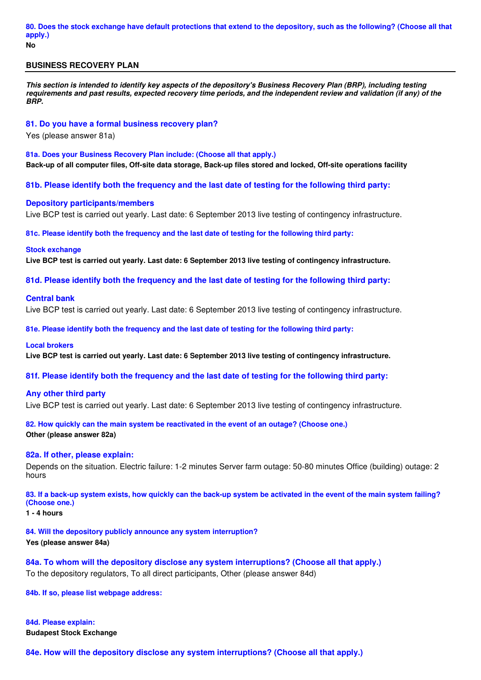## **BUSINESS RECOVERY PLAN**

**This section is intended to identify key aspects of the depository's Business Recovery Plan (BRP), including testing requirements and past results, expected recovery time periods, and the independent review and validation (if any) of the BRP.**

#### **81. Do you have a formal business recovery plan?**

Yes (please answer 81a)

**81a. Does your Business Recovery Plan include: (Choose all that apply.) Back-up of all computer files, Off-site data storage, Back-up files stored and locked, Off-site operations facility** 

**81b. Please identify both the frequency and the last date of testing for the following third party:** 

#### **Depository participants/members**

Live BCP test is carried out yearly. Last date: 6 September 2013 live testing of contingency infrastructure.

**81c. Please identify both the frequency and the last date of testing for the following third party:** 

#### **Stock exchange**

**Live BCP test is carried out yearly. Last date: 6 September 2013 live testing of contingency infrastructure.** 

**81d. Please identify both the frequency and the last date of testing for the following third party:** 

#### **Central bank**

Live BCP test is carried out yearly. Last date: 6 September 2013 live testing of contingency infrastructure.

**81e. Please identify both the frequency and the last date of testing for the following third party:** 

#### **Local brokers**

**Live BCP test is carried out yearly. Last date: 6 September 2013 live testing of contingency infrastructure.** 

**81f. Please identify both the frequency and the last date of testing for the following third party:** 

#### **Any other third party**

Live BCP test is carried out yearly. Last date: 6 September 2013 live testing of contingency infrastructure.

**82. How quickly can the main system be reactivated in the event of an outage? (Choose one.) Other (please answer 82a)** 

# **82a. If other, please explain:**

Depends on the situation. Electric failure: 1-2 minutes Server farm outage: 50-80 minutes Office (building) outage: 2 hours

**83. If a back-up system exists, how quickly can the back-up system be activated in the event of the main system failing? (Choose one.)**

**1 - 4 hours** 

**84. Will the depository publicly announce any system interruption? Yes (please answer 84a)** 

**84a. To whom will the depository disclose any system interruptions? (Choose all that apply.)** To the depository regulators, To all direct participants, Other (please answer 84d)

**84b. If so, please list webpage address:**

**84d. Please explain: Budapest Stock Exchange** 

**84e. How will the depository disclose any system interruptions? (Choose all that apply.)**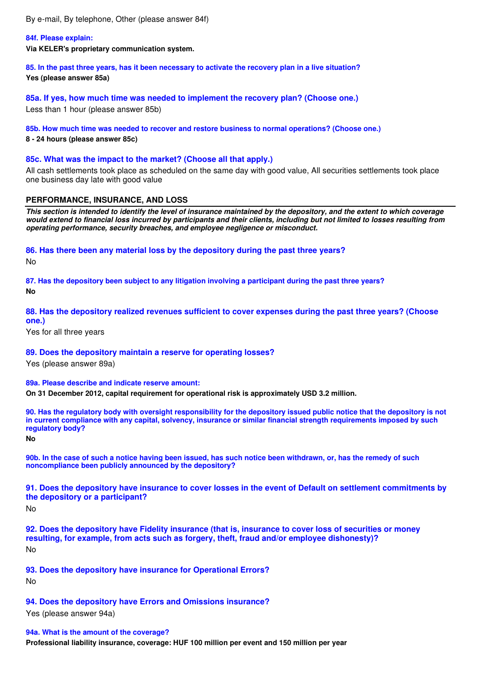By e-mail, By telephone, Other (please answer 84f)

### **84f. Please explain:**

**Via KELER's proprietary communication system.** 

**85. In the past three years, has it been necessary to activate the recovery plan in a live situation? Yes (please answer 85a)** 

**85a. If yes, how much time was needed to implement the recovery plan? (Choose one.)** Less than 1 hour (please answer 85b)

#### **85b. How much time was needed to recover and restore business to normal operations? (Choose one.)**

**8 - 24 hours (please answer 85c)** 

#### **85c. What was the impact to the market? (Choose all that apply.)**

All cash settlements took place as scheduled on the same day with good value, All securities settlements took place one business day late with good value

#### **PERFORMANCE, INSURANCE, AND LOSS**

**This section is intended to identify the level of insurance maintained by the depository, and the extent to which coverage would extend to financial loss incurred by participants and their clients, including but not limited to losses resulting from operating performance, security breaches, and employee negligence or misconduct.**

#### **86. Has there been any material loss by the depository during the past three years?**

No

**87. Has the depository been subject to any litigation involving a participant during the past three years? No** 

# **88. Has the depository realized revenues sufficient to cover expenses during the past three years? (Choose one.)**

Yes for all three years

#### **89. Does the depository maintain a reserve for operating losses?**

Yes (please answer 89a)

**89a. Please describe and indicate reserve amount:**

**On 31 December 2012, capital requirement for operational risk is approximately USD 3.2 million.** 

**90. Has the regulatory body with oversight responsibility for the depository issued public notice that the depository is not in current compliance with any capital, solvency, insurance or similar financial strength requirements imposed by such regulatory body?**

**No** 

**90b. In the case of such a notice having been issued, has such notice been withdrawn, or, has the remedy of such noncompliance been publicly announced by the depository?**

**91. Does the depository have insurance to cover losses in the event of Default on settlement commitments by the depository or a participant?**

No

**92. Does the depository have Fidelity insurance (that is, insurance to cover loss of securities or money resulting, for example, from acts such as forgery, theft, fraud and/or employee dishonesty)?** No

# **93. Does the depository have insurance for Operational Errors?**

No

# **94. Does the depository have Errors and Omissions insurance?**

Yes (please answer 94a)

#### **94a. What is the amount of the coverage?**

**Professional liability insurance, coverage: HUF 100 million per event and 150 million per year**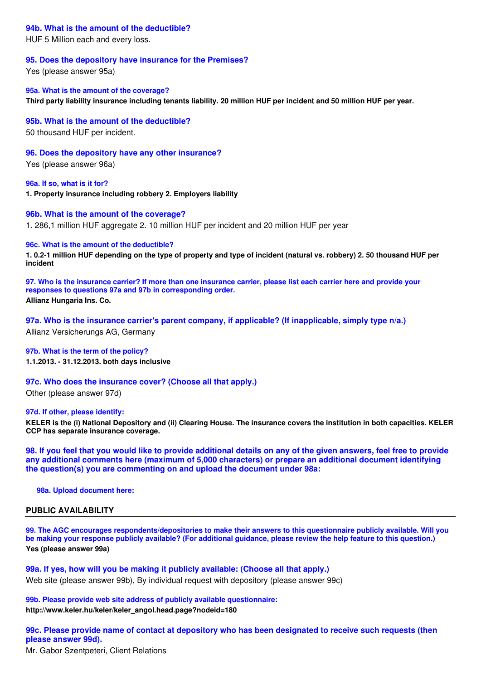### **94b. What is the amount of the deductible?**

HUF 5 Million each and every loss.

#### **95. Does the depository have insurance for the Premises?**

Yes (please answer 95a)

**95a. What is the amount of the coverage? Third party liability insurance including tenants liability. 20 million HUF per incident and 50 million HUF per year.** 

**95b. What is the amount of the deductible?**

50 thousand HUF per incident.

**96. Does the depository have any other insurance?**

Yes (please answer 96a)

**96a. If so, what is it for? 1. Property insurance including robbery 2. Employers liability** 

#### **96b. What is the amount of the coverage?**

1. 286,1 million HUF aggregate 2. 10 million HUF per incident and 20 million HUF per year

#### **96c. What is the amount of the deductible?**

**1. 0.2-1 million HUF depending on the type of property and type of incident (natural vs. robbery) 2. 50 thousand HUF per incident** 

**97. Who is the insurance carrier? If more than one insurance carrier, please list each carrier here and provide your responses to questions 97a and 97b in corresponding order. Allianz Hungaria Ins. Co.** 

**97a. Who is the insurance carrier's parent company, if applicable? (If inapplicable, simply type n/a.)**

Allianz Versicherungs AG, Germany

**97b. What is the term of the policy? 1.1.2013. - 31.12.2013. both days inclusive** 

#### **97c. Who does the insurance cover? (Choose all that apply.)**

Other (please answer 97d)

#### **97d. If other, please identify:**

**KELER is the (i) National Depository and (ii) Clearing House. The insurance covers the institution in both capacities. KELER CCP has separate insurance coverage.** 

**98. If you feel that you would like to provide additional details on any of the given answers, feel free to provide any additional comments here (maximum of 5,000 characters) or prepare an additional document identifying the question(s) you are commenting on and upload the document under 98a:**

**98a. Upload document here:**

### **PUBLIC AVAILABILITY**

**99. The AGC encourages respondents/depositories to make their answers to this questionnaire publicly available. Will you be making your response publicly available? (For additional guidance, please review the help feature to this question.) Yes (please answer 99a)** 

**99a. If yes, how will you be making it publicly available: (Choose all that apply.)** Web site (please answer 99b), By individual request with depository (please answer 99c)

**99b. Please provide web site address of publicly available questionnaire: http://www.keler.hu/keler/keler\_angol.head.page?nodeid=180** 

# **99c. Please provide name of contact at depository who has been designated to receive such requests (then please answer 99d).**

Mr. Gabor Szentpeteri, Client Relations